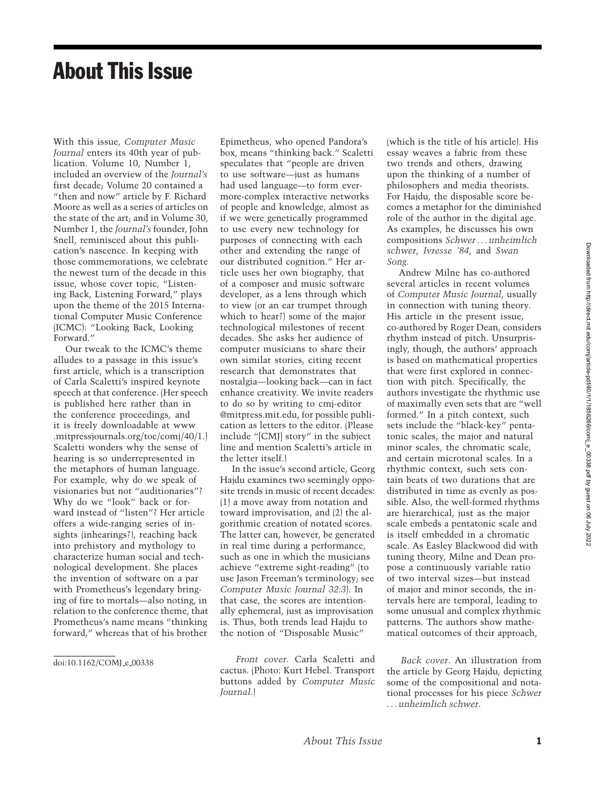## About This Issue

With this issue, *Computer Music Journal* enters its 40th year of publication. Volume 10, Number 1, included an overview of the *Journal's* first decade; Volume 20 contained a "then and now" article by F. Richard Moore as well as a series of articles on the state of the art; and in Volume 30, Number 1, the *Journal's* founder, John Snell, reminisced about this publication's nascence. In keeping with those commemorations, we celebrate the newest turn of the decade in this issue, whose cover topic, "Listening Back, Listening Forward," plays upon the theme of the 2015 International Computer Music Conference (ICMC): "Looking Back, Looking Forward."

Our tweak to the ICMC's theme alludes to a passage in this issue's first article, which is a transcription of Carla Scaletti's inspired keynote speech at that conference. (Her speech is published here rather than in the conference proceedings, and it is freely downloadable at www .mitpressjournals.org/toc/comj/40/1.) Scaletti wonders why the sense of hearing is so underrepresented in the metaphors of human language. For example, why do we speak of visionaries but not "auditionaries"? Why do we "look" back or forward instead of "listen"? Her article offers a wide-ranging series of insights (inhearings?), reaching back into prehistory and mythology to characterize human social and technological development. She places the invention of software on a par with Prometheus's legendary bringing of fire to mortals—also noting, in relation to the conference theme, that Prometheus's name means "thinking forward," whereas that of his brother

Epimetheus, who opened Pandora's box, means "thinking back." Scaletti speculates that "people are driven to use software—just as humans had used language—to form evermore-complex interactive networks of people and knowledge, almost as if we were genetically programmed to use every new technology for purposes of connecting with each other and extending the range of our distributed cognition." Her article uses her own biography, that of a composer and music software developer, as a lens through which to view (or an ear trumpet through which to hear?) some of the major technological milestones of recent decades. She asks her audience of computer musicians to share their own similar stories, citing recent research that demonstrates that nostalgia—looking back—can in fact enhance creativity. We invite readers to do so by writing to cmj-editor @mitpress.mit.edu, for possible publication as letters to the editor. (Please include "[CMJ] story" in the subject line and mention Scaletti's article in

In the issue's second article, Georg Hajdu examines two seemingly opposite trends in music of recent decades: (1) a move away from notation and toward improvisation, and (2) the algorithmic creation of notated scores. The latter can, however, be generated in real time during a performance, such as one in which the musicians achieve "extreme sight-reading" (to use Jason Freeman's terminology; see *Computer Music Journal 32:3*). In that case, the scores are intentionally ephemeral, just as improvisation is. Thus, both trends lead Hajdu to the notion of "Disposable Music"

the letter itself.)

*Front cover*. Carla Scaletti and cactus. (Photo: Kurt Hebel. Transport buttons added by *Computer Music*

*Journal*.)

(which is the title of his article). His essay weaves a fabric from these two trends and others, drawing upon the thinking of a number of philosophers and media theorists. For Hajdu, the disposable score becomes a metaphor for the diminished role of the author in the digital age. As examples, he discusses his own compositions *Schwer*... *unheimlich schwer*, *Ivresse '84*, and *Swan Song.*

Andrew Milne has co-authored several articles in recent volumes of *Computer Music Journal*, usually in connection with tuning theory. His article in the present issue, co-authored by Roger Dean, considers rhythm instead of pitch. Unsurprisingly, though, the authors' approach is based on mathematical properties that were first explored in connection with pitch. Specifically, the authors investigate the rhythmic use of maximally even sets that are "well formed." In a pitch context, such sets include the "black-key" pentatonic scales, the major and natural minor scales, the chromatic scale, and certain microtonal scales. In a rhythmic context, such sets contain beats of two durations that are distributed in time as evenly as possible. Also, the well-formed rhythms are hierarchical, just as the major scale embeds a pentatonic scale and is itself embedded in a chromatic scale. As Easley Blackwood did with tuning theory, Milne and Dean propose a continuously variable ratio of two interval sizes—but instead of major and minor seconds, the intervals here are temporal, leading to some unusual and complex rhythmic patterns. The authors show mathematical outcomes of their approach,

*Back cover*. An illustration from the article by Georg Hajdu, depicting some of the compositional and notational processes for his piece *Schwer* ... *unheimlich schwer*.

doi:10.1162/COMJ\_e\_00338